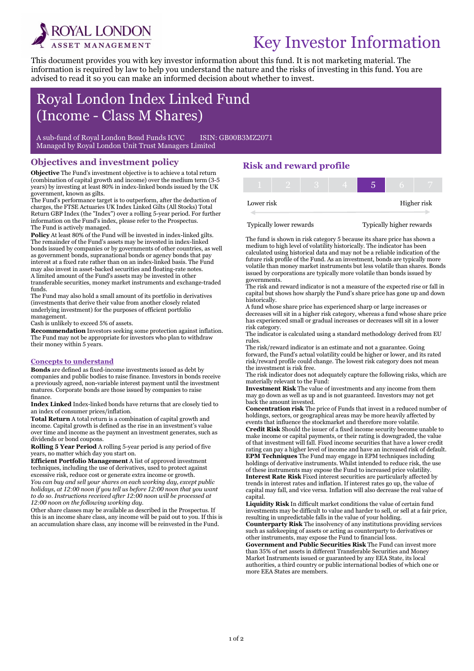

i

# Key Investor Information

This document provides you with key investor information about this fund. It is not marketing material. The information is required by law to help you understand the nature and the risks of investing in this fund. You are advised to read it so you can make an informed decision about whether to invest.

# Royal London Index Linked Fund (Income - Class M Shares)

A sub-fund of Royal London Bond Funds ICVC ISIN: GB00B3MZ2071 Managed by Royal London Unit Trust Managers Limited

### Objectives and investment policy

Objective The Fund's investment objective is to achieve a total return (combination of capital growth and income) over the medium term (3-5 years) by investing at least 80% in index-linked bonds issued by the UK government, known as gilts.

The Fund's performance target is to outperform, after the deduction of charges, the FTSE Actuaries UK Index Linked Gilts (All Stocks) Total Return GBP Index (the "Index") over a rolling 5-year period. For further information on the Fund's index, please refer to the Prospectus. The Fund is actively managed.

Policy At least 80% of the Fund will be invested in index-linked gilts. The remainder of the Fund's assets may be invested in index-linked bonds issued by companies or by governments of other countries, as well as government bonds, supranational bonds or agency bonds that pay interest at a fixed rate rather than on an index-linked basis. The Fund may also invest in asset-backed securities and floating-rate notes. A limited amount of the Fund's assets may be invested in other transferable securities, money market instruments and exchange-traded funds.

The Fund may also hold a small amount of its portfolio in derivatives (investments that derive their value from another closely related underlying investment) for the purposes of efficient portfolio management.

Cash is unlikely to exceed 5% of assets.

Recommendation Investors seeking some protection against inflation. The Fund may not be appropriate for investors who plan to withdraw their money within 5 years.

#### Concepts to understand

Bonds are defined as fixed-income investments issued as debt by companies and public bodies to raise finance. Investors in bonds receive a previously agreed, non-variable interest payment until the investment matures. Corporate bonds are those issued by companies to raise finance.

Index Linked Index-linked bonds have returns that are closely tied to an index of consumer prices/inflation.

Total Return A total return is a combination of capital growth and income. Capital growth is defined as the rise in an investment's value over time and income as the payment an investment generates, such as dividends or bond coupons.

Rolling 5 Year Period A rolling 5-year period is any period of five years, no matter which day you start on.

Efficient Portfolio Management A list of approved investment techniques, including the use of derivatives, used to protect against excessive risk, reduce cost or generate extra income or growth. You can buy and sell your shares on each working day, except public

holidays, at 12:00 noon if you tell us before 12:00 noon that you want to do so. Instructions received after 12:00 noon will be processed at 12:00 noon on the following working day.

Other share classes may be available as described in the Prospectus. If this is an income share class, any income will be paid out to you. If this is an accumulation share class, any income will be reinvested in the Fund.

# Risk and reward profile

| Lower risk |  |  |  | Higher risk |
|------------|--|--|--|-------------|

Typically lower rewards Typically higher rewards

The fund is shown in risk category 5 because its share price has shown a medium to high level of volatility historically. The indicator has been calculated using historical data and may not be a reliable indication of the future risk profile of the Fund. As an investment, bonds are typically more volatile than money market instruments but less volatile than shares. Bonds issued by corporations are typically more volatile than bonds issued by governments.

The risk and reward indicator is not a measure of the expected rise or fall in capital but shows how sharply the Fund's share price has gone up and down historically.

A fund whose share price has experienced sharp or large increases or decreases will sit in a higher risk category, whereas a fund whose share price has experienced small or gradual increases or decreases will sit in a lower risk category.

The indicator is calculated using a standard methodology derived from EU rules.

The risk/reward indicator is an estimate and not a guarantee. Going forward, the Fund's actual volatility could be higher or lower, and its rated risk/reward profile could change. The lowest risk category does not mean the investment is risk free.

The risk indicator does not adequately capture the following risks, which are materially relevant to the Fund:

Investment Risk The value of investments and any income from them may go down as well as up and is not guaranteed. Investors may not get back the amount invested.

Concentration risk The price of Funds that invest in a reduced number of holdings, sectors, or geographical areas may be more heavily affected by events that influence the stockmarket and therefore more volatile.

Credit Risk Should the issuer of a fixed income security become unable to make income or capital payments, or their rating is downgraded, the value of that investment will fall. Fixed income securities that have a lower credit rating can pay a higher level of income and have an increased risk of default. EPM Techniques The Fund may engage in EPM techniques including holdings of derivative instruments. Whilst intended to reduce risk, the use of these instruments may expose the Fund to increased price volatility. Interest Rate Risk Fixed interest securities are particularly affected by trends in interest rates and inflation. If interest rates go up, the value of capital may fall, and vice versa. Inflation will also decrease the real value of capital.

Liquidity Risk In difficult market conditions the value of certain fund investments may be difficult to value and harder to sell, or sell at a fair price, resulting in unpredictable falls in the value of your holding. Counterparty Risk The insolvency of any institutions providing services such as safekeeping of assets or acting as counterparty to derivatives or

other instruments, may expose the Fund to financial loss. Government and Public Securities Risk The Fund can invest more than 35% of net assets in different Transferable Securities and Money Market Instruments issued or guaranteed by any EEA State, its local authorities, a third country or public international bodies of which one or more EEA States are members.